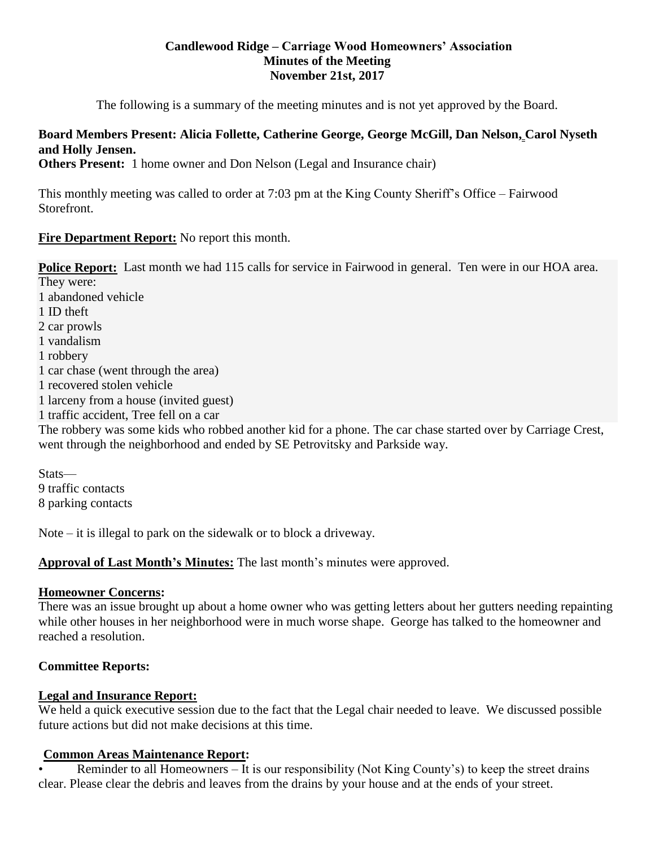#### **Candlewood Ridge – Carriage Wood Homeowners' Association Minutes of the Meeting November 21st, 2017**

The following is a summary of the meeting minutes and is not yet approved by the Board.

# **Board Members Present: Alicia Follette, Catherine George, George McGill, Dan Nelson, Carol Nyseth and Holly Jensen.**

**Others Present:** 1 home owner and Don Nelson (Legal and Insurance chair)

This monthly meeting was called to order at 7:03 pm at the King County Sheriff's Office – Fairwood Storefront.

#### **Fire Department Report:** No report this month.

**Police Report:** Last month we had 115 calls for service in Fairwood in general. Ten were in our HOA area. They were: 1 abandoned vehicle 1 ID theft 2 car prowls 1 vandalism 1 robbery 1 car chase (went through the area) 1 recovered stolen vehicle 1 larceny from a house (invited guest) 1 traffic accident, Tree fell on a car The robbery was some kids who robbed another kid for a phone. The car chase started over by Carriage Crest, went through the neighborhood and ended by SE Petrovitsky and Parkside way.

Stats— 9 traffic contacts 8 parking contacts

Note – it is illegal to park on the sidewalk or to block a driveway.

# **Approval of Last Month's Minutes:** The last month's minutes were approved.

#### **Homeowner Concerns:**

There was an issue brought up about a home owner who was getting letters about her gutters needing repainting while other houses in her neighborhood were in much worse shape. George has talked to the homeowner and reached a resolution.

#### **Committee Reports:**

# **Legal and Insurance Report:**

We held a quick executive session due to the fact that the Legal chair needed to leave. We discussed possible future actions but did not make decisions at this time.

# **Common Areas Maintenance Report:**

• Reminder to all Homeowners – It is our responsibility (Not King County's) to keep the street drains clear. Please clear the debris and leaves from the drains by your house and at the ends of your street.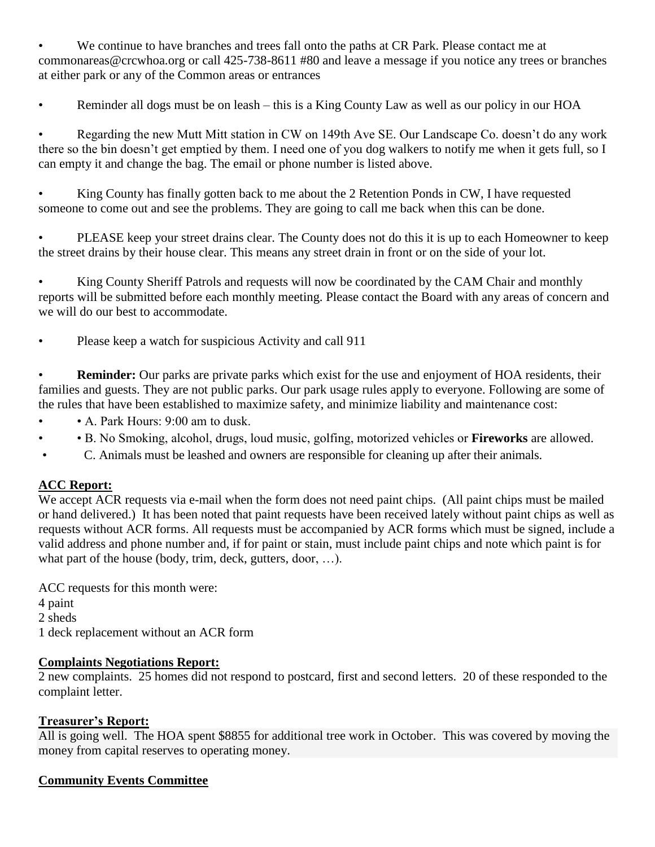We continue to have branches and trees fall onto the paths at CR Park. Please contact me at commonareas@crcwhoa.org or call 425-738-8611 #80 and leave a message if you notice any trees or branches at either park or any of the Common areas or entrances

Reminder all dogs must be on leash – this is a King County Law as well as our policy in our HOA

• Regarding the new Mutt Mitt station in CW on 149th Ave SE. Our Landscape Co. doesn't do any work there so the bin doesn't get emptied by them. I need one of you dog walkers to notify me when it gets full, so I can empty it and change the bag. The email or phone number is listed above.

• King County has finally gotten back to me about the 2 Retention Ponds in CW, I have requested someone to come out and see the problems. They are going to call me back when this can be done.

• PLEASE keep your street drains clear. The County does not do this it is up to each Homeowner to keep the street drains by their house clear. This means any street drain in front or on the side of your lot.

• King County Sheriff Patrols and requests will now be coordinated by the CAM Chair and monthly reports will be submitted before each monthly meeting. Please contact the Board with any areas of concern and we will do our best to accommodate.

• Please keep a watch for suspicious Activity and call 911

**Reminder:** Our parks are private parks which exist for the use and enjoyment of HOA residents, their families and guests. They are not public parks. Our park usage rules apply to everyone. Following are some of the rules that have been established to maximize safety, and minimize liability and maintenance cost:

- A. Park Hours: 9:00 am to dusk.
- • B. No Smoking, alcohol, drugs, loud music, golfing, motorized vehicles or **Fireworks** are allowed.
- C. Animals must be leashed and owners are responsible for cleaning up after their animals.

# **ACC Report:**

We accept ACR requests via e-mail when the form does not need paint chips. (All paint chips must be mailed or hand delivered.) It has been noted that paint requests have been received lately without paint chips as well as requests without ACR forms. All requests must be accompanied by ACR forms which must be signed, include a valid address and phone number and, if for paint or stain, must include paint chips and note which paint is for what part of the house (body, trim, deck, gutters, door, ...).

ACC requests for this month were: 4 paint 2 sheds 1 deck replacement without an ACR form

# **Complaints Negotiations Report:**

2 new complaints. 25 homes did not respond to postcard, first and second letters. 20 of these responded to the complaint letter.

# **Treasurer's Report:**

All is going well. The HOA spent \$8855 for additional tree work in October. This was covered by moving the money from capital reserves to operating money.

# **Community Events Committee**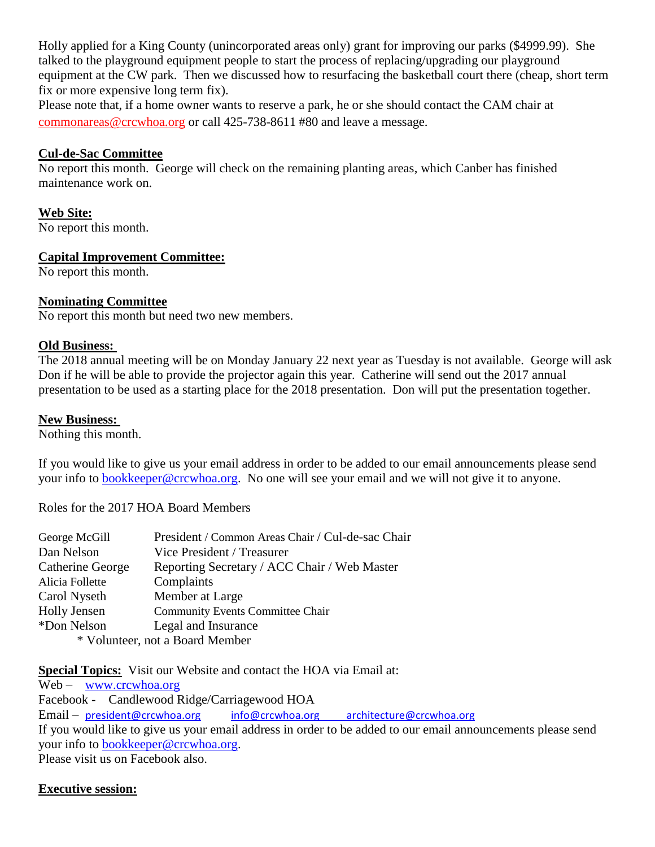Holly applied for a King County (unincorporated areas only) grant for improving our parks (\$4999.99). She talked to the playground equipment people to start the process of replacing/upgrading our playground equipment at the CW park. Then we discussed how to resurfacing the basketball court there (cheap, short term fix or more expensive long term fix).

Please note that, if a home owner wants to reserve a park, he or she should contact the CAM chair at [commonareas@crcwhoa.org](mailto:commonareas@crcwhoa.org) or call 425-738-8611 #80 and leave a message.

#### **Cul-de-Sac Committee**

No report this month. George will check on the remaining planting areas, which Canber has finished maintenance work on.

#### **Web Site:**

No report this month.

#### **Capital Improvement Committee:**

No report this month.

# **Nominating Committee**

No report this month but need two new members.

#### **Old Business:**

The 2018 annual meeting will be on Monday January 22 next year as Tuesday is not available. George will ask Don if he will be able to provide the projector again this year. Catherine will send out the 2017 annual presentation to be used as a starting place for the 2018 presentation. Don will put the presentation together.

#### **New Business:**

Nothing this month.

If you would like to give us your email address in order to be added to our email announcements please send your info to [bookkeeper@crcwhoa.org.](mailto:bookkeeper@crcwhoa.org) No one will see your email and we will not give it to anyone.

Roles for the 2017 HOA Board Members

| George McGill                   | President / Common Areas Chair / Cul-de-sac Chair |
|---------------------------------|---------------------------------------------------|
| Dan Nelson                      | Vice President / Treasurer                        |
| Catherine George                | Reporting Secretary / ACC Chair / Web Master      |
| Alicia Follette                 | Complaints                                        |
| Carol Nyseth                    | Member at Large                                   |
| <b>Holly Jensen</b>             | <b>Community Events Committee Chair</b>           |
| *Don Nelson                     | Legal and Insurance                               |
| * Volunteer, not a Board Member |                                                   |

**Special Topics:** Visit our Website and contact the HOA via Email at:

Web – [www.crcwhoa.org](http://www.crcwhoa.org/) Facebook - Candlewood Ridge/Carriagewood HOA Email – [president@crcwhoa.org](mailto:president@crcwhoa.org) [info@crcwhoa.org](mailto:info@crcwhoa.org) [architecture@crcwhoa.org](mailto:architecture@crcwhoa.org) If you would like to give us your email address in order to be added to our email announcements please send your info to [bookkeeper@crcwhoa.org.](mailto:bookkeeper@crcwhoa.org) Please visit us on Facebook also.

**Executive session:**